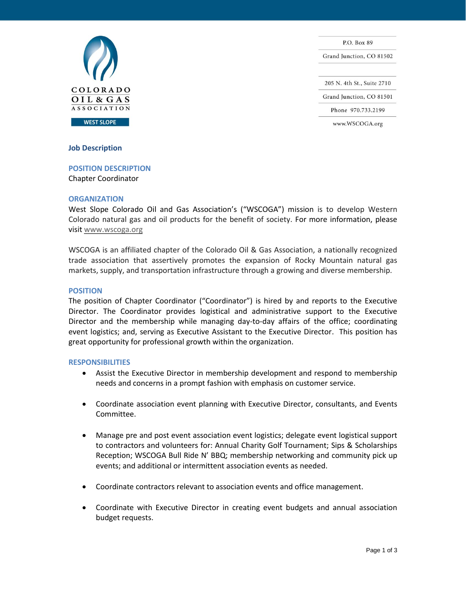

P.O. Box 89 Grand Junction, CO 81502 205 N. 4th St., Suite 2710 Grand Junction, CO 81501 Phone 970.733.2199 www.WSCOGA.org

# **Job Description**

# **POSITION DESCRIPTION**

Chapter Coordinator

### **ORGANIZATION**

West Slope Colorado Oil and Gas Association's ("WSCOGA") mission is to develop Western Colorado natural gas and oil products for the benefit of society. For more information, please visit www.wscoga.org

WSCOGA is an affiliated chapter of the Colorado Oil & Gas Association, a nationally recognized trade association that assertively promotes the expansion of Rocky Mountain natural gas markets, supply, and transportation infrastructure through a growing and diverse membership.

# **POSITION**

The position of Chapter Coordinator ("Coordinator") is hired by and reports to the Executive Director. The Coordinator provides logistical and administrative support to the Executive Director and the membership while managing day-to-day affairs of the office; coordinating event logistics; and, serving as Executive Assistant to the Executive Director. This position has great opportunity for professional growth within the organization.

### **RESPONSIBILITIES**

- Assist the Executive Director in membership development and respond to membership needs and concerns in a prompt fashion with emphasis on customer service.
- Coordinate association event planning with Executive Director, consultants, and Events Committee.
- Manage pre and post event association event logistics; delegate event logistical support to contractors and volunteers for: Annual Charity Golf Tournament; Sips & Scholarships Reception; WSCOGA Bull Ride N' BBQ; membership networking and community pick up events; and additional or intermittent association events as needed.
- Coordinate contractors relevant to association events and office management.
- Coordinate with Executive Director in creating event budgets and annual association budget requests.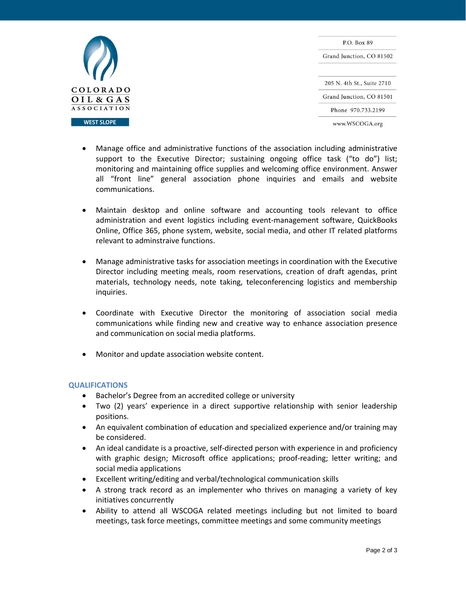

P.O. Box 89 Grand Junction, CO 81502 205 N. 4th St., Suite 2710 Grand Junction, CO 81501 Phone 970.733.2199 www.WSCOGA.org

- Manage office and administrative functions of the association including administrative support to the Executive Director; sustaining ongoing office task ("to do") list; monitoring and maintaining office supplies and welcoming office environment. Answer all "front line" general association phone inquiries and emails and website communications.
- Maintain desktop and online software and accounting tools relevant to office administration and event logistics including event-management software, QuickBooks Online, Office 365, phone system, website, social media, and other IT related platforms relevant to adminstraive functions.
- Manage administrative tasks for association meetings in coordination with the Executive Director including meeting meals, room reservations, creation of draft agendas, print materials, technology needs, note taking, teleconferencing logistics and membership inquiries.
- Coordinate with Executive Director the monitoring of association social media communications while finding new and creative way to enhance association presence and communication on social media platforms.
- Monitor and update association website content.

# **QUALIFICATIONS**

- Bachelor's Degree from an accredited college or university
- Two (2) years' experience in a direct supportive relationship with senior leadership positions.
- An equivalent combination of education and specialized experience and/or training may be considered.
- An ideal candidate is a proactive, self-directed person with experience in and proficiency with graphic design; Microsoft office applications; proof-reading; letter writing; and social media applications
- Excellent writing/editing and verbal/technological communication skills
- A strong track record as an implementer who thrives on managing a variety of key initiatives concurrently
- Ability to attend all WSCOGA related meetings including but not limited to board meetings, task force meetings, committee meetings and some community meetings